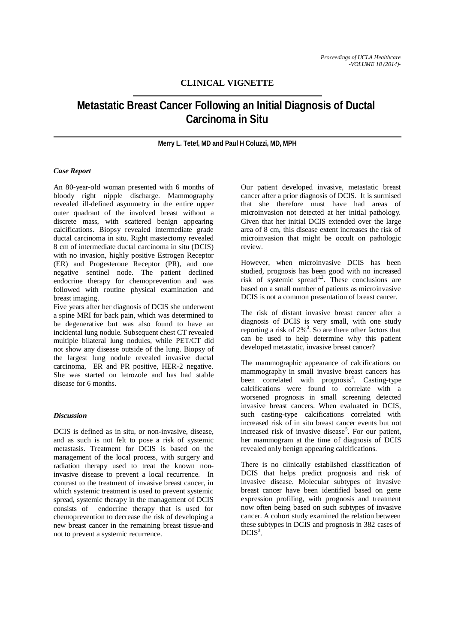## **CLINICAL VIGNETTE**

# **Metastatic Breast Cancer Following an Initial Diagnosis of Ductal Carcinoma in Situ**

### **Merry L. Tetef, MD and Paul H Coluzzi, MD, MPH**

### *Case Report*

An 80-year-old woman presented with 6 months of bloody right nipple discharge. Mammography revealed ill-defined asymmetry in the entire upper outer quadrant of the involved breast without a discrete mass, with scattered benign appearing calcifications. Biopsy revealed intermediate grade ductal carcinoma in situ. Right mastectomy revealed 8 cm of intermediate ductal carcinoma in situ (DCIS) with no invasion, highly positive Estrogen Receptor (ER) and Progesterone Receptor (PR), and one negative sentinel node. The patient declined endocrine therapy for chemoprevention and was followed with routine physical examination and breast imaging.

Five years after her diagnosis of DCIS she underwent a spine MRI for back pain, which was determined to be degenerative but was also found to have an incidental lung nodule. Subsequent chest CT revealed multiple bilateral lung nodules, while PET/CT did not show any disease outside of the lung. Biopsy of the largest lung nodule revealed invasive ductal carcinoma, ER and PR positive, HER-2 negative. She was started on letrozole and has had stable disease for 6 months.

### *Discussion*

DCIS is defined as in situ, or non-invasive, disease, and as such is not felt to pose a risk of systemic metastasis. Treatment for DCIS is based on the management of the local process, with surgery and radiation therapy used to treat the known noninvasive disease to prevent a local recurrence. In contrast to the treatment of invasive breast cancer, in which systemic treatment is used to prevent systemic spread, systemic therapy in the management of DCIS consists of endocrine therapy that is used for chemoprevention to decrease the risk of developing a new breast cancer in the remaining breast tissue-and not to prevent a systemic recurrence.

Our patient developed invasive, metastatic breast cancer after a prior diagnosis of DCIS. It is surmised that she therefore must have had areas of microinvasion not detected at her initial pathology. Given that her initial DCIS extended over the large area of 8 cm, this disease extent increases the risk of microinvasion that might be occult on pathologic review.

However, when microinvasive DCIS has been studied, prognosis has been good with no increased risk of systemic spread<sup>1,2</sup>. These conclusions are based on a small number of patients as microinvasive DCIS is not a common presentation of breast cancer.

The risk of distant invasive breast cancer after a diagnosis of DCIS is very small, with one study reporting a risk of  $2\%$ <sup>3</sup>. So are there other factors that can be used to help determine why this patient developed metastatic, invasive breast cancer?

The mammographic appearance of calcifications on mammography in small invasive breast cancers has been correlated with prognosis<sup>4</sup>. Casting-type calcifications were found to correlate with a worsened prognosis in small screening detected invasive breast cancers. When evaluated in DCIS, such casting-type calcifications correlated with increased risk of in situ breast cancer events but not increased risk of invasive disease<sup>5</sup>. For our patient, her mammogram at the time of diagnosis of DCIS revealed only benign appearing calcifications.

There is no clinically established classification of DCIS that helps predict prognosis and risk of invasive disease. Molecular subtypes of invasive breast cancer have been identified based on gene expression profiling, with prognosis and treatment now often being based on such subtypes of invasive cancer. A cohort study examined the relation between these subtypes in DCIS and prognosis in 382 cases of  $DCIS<sup>3</sup>$ .